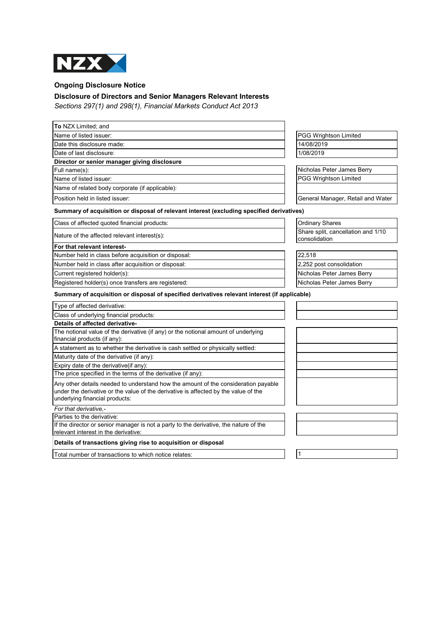

## **Ongoing Disclosure Notice**

## **Disclosure of Directors and Senior Managers Relevant Interests**

*Sections 297(1) and 298(1), Financial Markets Conduct Act 2013*

| To NZX Limited; and                                                                                                                                                                                         |                                                     |
|-------------------------------------------------------------------------------------------------------------------------------------------------------------------------------------------------------------|-----------------------------------------------------|
| Name of listed issuer:                                                                                                                                                                                      | <b>PGG Wrightson Limited</b>                        |
| Date this disclosure made:                                                                                                                                                                                  | 14/08/2019                                          |
| Date of last disclosure:                                                                                                                                                                                    | 1/08/2019                                           |
| Director or senior manager giving disclosure                                                                                                                                                                |                                                     |
| Full name(s):                                                                                                                                                                                               | Nicholas Peter James Berry                          |
| Name of listed issuer:                                                                                                                                                                                      | PGG Wrightson Limited                               |
| Name of related body corporate (if applicable):                                                                                                                                                             |                                                     |
| Position held in listed issuer:                                                                                                                                                                             | General Manager, Retail and Water                   |
| Summary of acquisition or disposal of relevant interest (excluding specified derivatives)                                                                                                                   |                                                     |
| Class of affected quoted financial products:                                                                                                                                                                | <b>Ordinary Shares</b>                              |
| Nature of the affected relevant interest(s):                                                                                                                                                                | Share split, cancellation and 1/10<br>consolidation |
| For that relevant interest-                                                                                                                                                                                 |                                                     |
| Number held in class before acquisition or disposal:                                                                                                                                                        | 22.518                                              |
| Number held in class after acquisition or disposal:                                                                                                                                                         | 2,252 post consolidation                            |
| Current registered holder(s):                                                                                                                                                                               | Nicholas Peter James Berry                          |
| Registered holder(s) once transfers are registered:                                                                                                                                                         | Nicholas Peter James Berry                          |
| Summary of acquisition or disposal of specified derivatives relevant interest (if applicable)                                                                                                               |                                                     |
| Type of affected derivative:                                                                                                                                                                                |                                                     |
| Class of underlying financial products:                                                                                                                                                                     |                                                     |
| Details of affected derivative-                                                                                                                                                                             |                                                     |
| The notional value of the derivative (if any) or the notional amount of underlying<br>financial products (if any):                                                                                          |                                                     |
| A statement as to whether the derivative is cash settled or physically settled:                                                                                                                             |                                                     |
| Maturity date of the derivative (if any):                                                                                                                                                                   |                                                     |
| Expiry date of the derivative(if any):                                                                                                                                                                      |                                                     |
| The price specified in the terms of the derivative (if any):                                                                                                                                                |                                                     |
| Any other details needed to understand how the amount of the consideration payable<br>under the derivative or the value of the derivative is affected by the value of the<br>underlying financial products: |                                                     |
| For that derivative.-                                                                                                                                                                                       |                                                     |
| Parties to the derivative:                                                                                                                                                                                  |                                                     |
| If the director or senior manager is not a party to the derivative, the nature of the<br>relevant interest in the derivative:                                                                               |                                                     |
| Details of transactions giving rise to acquisition or disposal                                                                                                                                              |                                                     |
| Total number of transactions to which notice relates:                                                                                                                                                       | $\mathbf{1}$                                        |